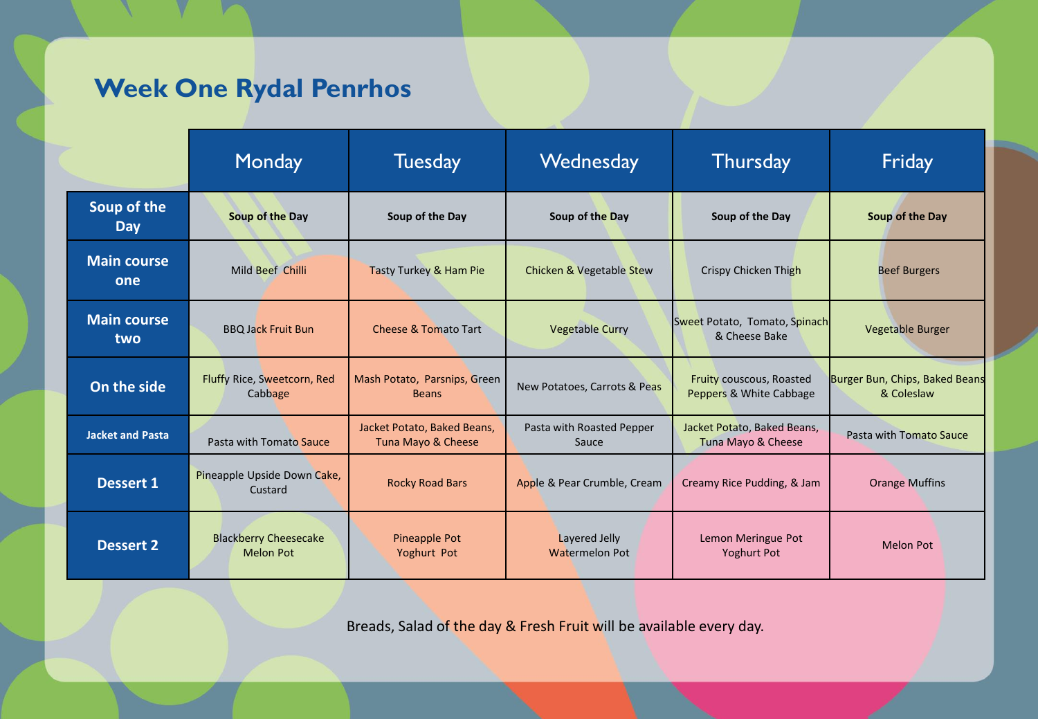## **Week One Rydal Penrhos**

|                           | Monday                                           | <b>Tuesday</b>                                    | Wednesday                                     | Thursday                                            | Friday                                       |
|---------------------------|--------------------------------------------------|---------------------------------------------------|-----------------------------------------------|-----------------------------------------------------|----------------------------------------------|
| Soup of the<br><b>Day</b> | Soup of the Day                                  | Soup of the Day                                   | Soup of the Day                               | Soup of the Day                                     | Soup of the Day                              |
| <b>Main course</b><br>one | Mild Beef Chilli                                 | Tasty Turkey & Ham Pie                            | <b>Chicken &amp; Vegetable Stew</b>           | Crispy Chicken Thigh                                | <b>Beef Burgers</b>                          |
| <b>Main course</b><br>two | <b>BBQ Jack Fruit Bun</b>                        | <b>Cheese &amp; Tomato Tart</b>                   | <b>Vegetable Curry</b>                        | Sweet Potato, Tomato, Spinach<br>& Cheese Bake      | Vegetable Burger                             |
| On the side               | Fluffy Rice, Sweetcorn, Red<br>Cabbage           | Mash Potato, Parsnips, Green<br><b>Beans</b>      | New Potatoes, Carrots & Peas                  | Fruity couscous, Roasted<br>Peppers & White Cabbage | Burger Bun, Chips, Baked Beans<br>& Coleslaw |
| <b>Jacket and Pasta</b>   | Pasta with Tomato Sauce                          | Jacket Potato, Baked Beans,<br>Tuna Mayo & Cheese | Pasta with Roasted Pepper<br>Sauce            | Jacket Potato, Baked Beans,<br>Tuna Mayo & Cheese   | Pasta with Tomato Sauce                      |
| <b>Dessert 1</b>          | Pineapple Upside Down Cake,<br>Custard           | <b>Rocky Road Bars</b>                            | Apple & Pear Crumble, Cream                   | Creamy Rice Pudding, & Jam                          | <b>Orange Muffins</b>                        |
| <b>Dessert 2</b>          | <b>Blackberry Cheesecake</b><br><b>Melon Pot</b> | Pineapple Pot<br>Yoghurt Pot                      | <b>Layered Jelly</b><br><b>Watermelon Pot</b> | Lemon Meringue Pot<br><b>Yoghurt Pot</b>            | <b>Melon Pot</b>                             |

Breads, Salad of the day & Fresh Fruit will be available every day.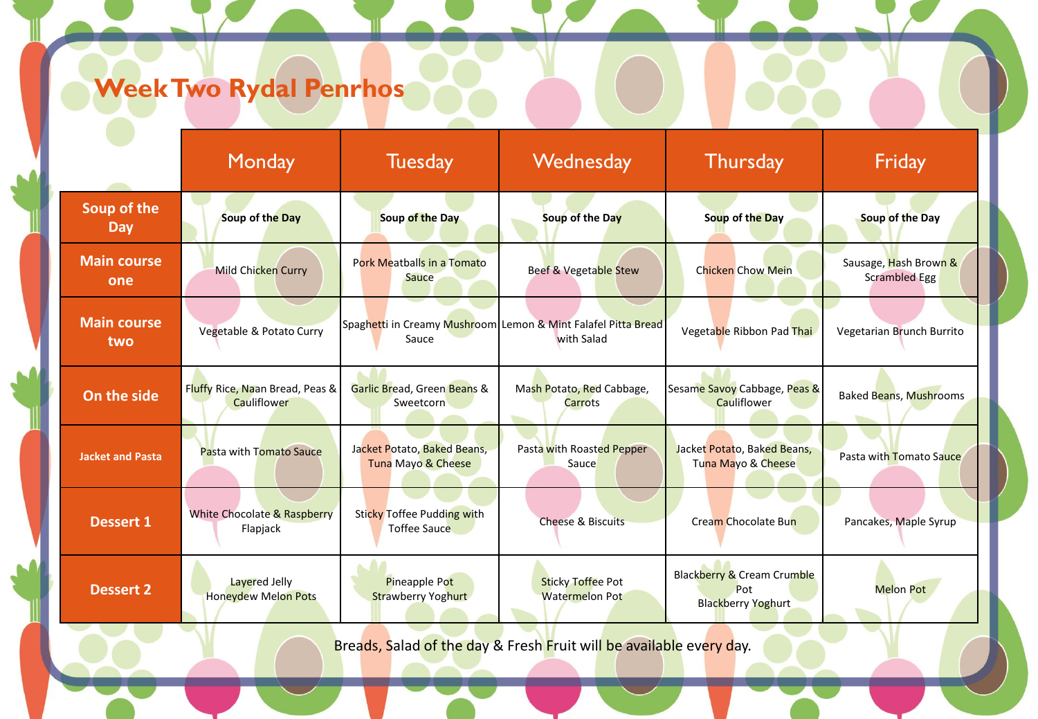## **Week Two Rydal Penrhos**

|                                                                     | Monday                                         | <b>Tuesday</b>                                    | Wednesday                                                                   | <b>Thursday</b>                                                | Friday                                        |  |
|---------------------------------------------------------------------|------------------------------------------------|---------------------------------------------------|-----------------------------------------------------------------------------|----------------------------------------------------------------|-----------------------------------------------|--|
| Soup of the<br>Day                                                  | Soup of the Day                                | Soup of the Day                                   | Soup of the Day                                                             | Soup of the Day                                                | Soup of the Day                               |  |
| <b>Main course</b><br>one                                           | Mild Chicken Curry                             | Pork Meatballs in a Tomato<br>Sauce               | Beef & Vegetable Stew                                                       | <b>Chicken Chow Mein</b>                                       | Sausage, Hash Brown &<br><b>Scrambled Egg</b> |  |
| <b>Main course</b><br>two                                           | Vegetable & Potato Curry                       | Sauce                                             | Spaghetti in Creamy Mushroom Lemon & Mint Falafel Pitta Bread<br>with Salad | Vegetable Ribbon Pad Thai                                      | Vegetarian Brunch Burrito                     |  |
| On the side                                                         | Fluffy Rice, Naan Bread, Peas &<br>Cauliflower | Garlic Bread, Green Beans &<br>Sweetcorn          | Mash Potato, Red Cabbage,<br>Carrots                                        | Sesame Savoy Cabbage, Peas &<br>Cauliflower                    | <b>Baked Beans, Mushrooms</b>                 |  |
| <b>Jacket and Pasta</b>                                             | Pasta with Tomato Sauce                        | Jacket Potato, Baked Beans,<br>Tuna Mayo & Cheese | Pasta with Roasted Pepper<br>Sauce                                          | Jacket Potato, Baked Beans,<br>Tuna Mayo & Cheese              | Pasta with Tomato Sauce                       |  |
| <b>Dessert 1</b>                                                    | White Chocolate & Raspberry<br>Flapjack        | Sticky Toffee Pudding with<br>Toffee Sauce        | <b>Cheese &amp; Biscuits</b>                                                | Cream Chocolate Bun                                            | Pancakes, Maple Syrup                         |  |
| <b>Dessert 2</b>                                                    | Lavered Jelly<br><b>Honeydew Melon Pots</b>    | Pineapple Pot<br><b>Strawberry Yoghurt</b>        | <b>Sticky Toffee Pot</b><br><b>Watermelon Pot</b>                           | Blackberry & Cream Crumble<br>Pot<br><b>Blackberry Yoghurt</b> | <b>Melon Pot</b>                              |  |
| Breads, Salad of the day & Fresh Fruit will be available every day. |                                                |                                                   |                                                                             |                                                                |                                               |  |